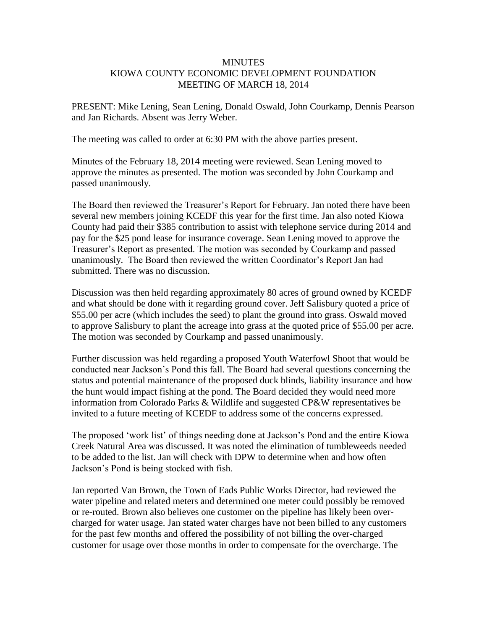## **MINUTES** KIOWA COUNTY ECONOMIC DEVELOPMENT FOUNDATION MEETING OF MARCH 18, 2014

PRESENT: Mike Lening, Sean Lening, Donald Oswald, John Courkamp, Dennis Pearson and Jan Richards. Absent was Jerry Weber.

The meeting was called to order at 6:30 PM with the above parties present.

Minutes of the February 18, 2014 meeting were reviewed. Sean Lening moved to approve the minutes as presented. The motion was seconded by John Courkamp and passed unanimously.

The Board then reviewed the Treasurer's Report for February. Jan noted there have been several new members joining KCEDF this year for the first time. Jan also noted Kiowa County had paid their \$385 contribution to assist with telephone service during 2014 and pay for the \$25 pond lease for insurance coverage. Sean Lening moved to approve the Treasurer's Report as presented. The motion was seconded by Courkamp and passed unanimously. The Board then reviewed the written Coordinator's Report Jan had submitted. There was no discussion.

Discussion was then held regarding approximately 80 acres of ground owned by KCEDF and what should be done with it regarding ground cover. Jeff Salisbury quoted a price of \$55.00 per acre (which includes the seed) to plant the ground into grass. Oswald moved to approve Salisbury to plant the acreage into grass at the quoted price of \$55.00 per acre. The motion was seconded by Courkamp and passed unanimously.

Further discussion was held regarding a proposed Youth Waterfowl Shoot that would be conducted near Jackson's Pond this fall. The Board had several questions concerning the status and potential maintenance of the proposed duck blinds, liability insurance and how the hunt would impact fishing at the pond. The Board decided they would need more information from Colorado Parks & Wildlife and suggested CP&W representatives be invited to a future meeting of KCEDF to address some of the concerns expressed.

The proposed 'work list' of things needing done at Jackson's Pond and the entire Kiowa Creek Natural Area was discussed. It was noted the elimination of tumbleweeds needed to be added to the list. Jan will check with DPW to determine when and how often Jackson's Pond is being stocked with fish.

Jan reported Van Brown, the Town of Eads Public Works Director, had reviewed the water pipeline and related meters and determined one meter could possibly be removed or re-routed. Brown also believes one customer on the pipeline has likely been overcharged for water usage. Jan stated water charges have not been billed to any customers for the past few months and offered the possibility of not billing the over-charged customer for usage over those months in order to compensate for the overcharge. The